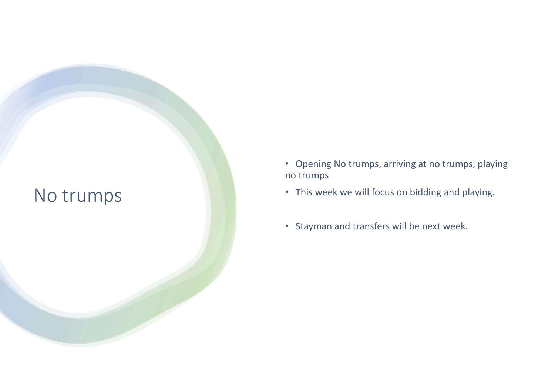#### No trumps

- Opening No trumps, arriving at no trumps, playing no trumps
- This week we will focus on bidding and playing.
- Stayman and transfers will be next week.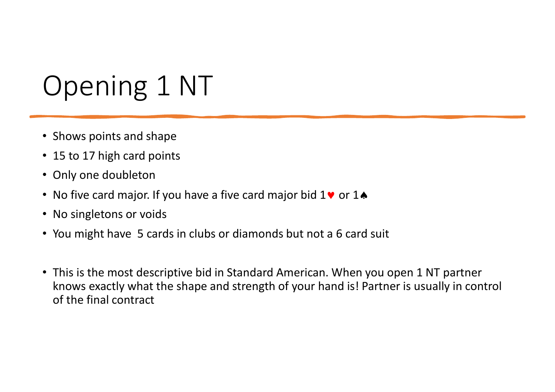# Opening 1 NT

- Shows points and shape
- 15 to 17 high card points
- Only one doubleton
- No five card major. If you have a five card major bid  $1\blacktriangledown$  or  $1\blacktriangle$
- No singletons or voids
- You might have 5 cards in clubs or diamonds but not a 6 card suit
- This is the most descriptive bid in Standard American. When you open 1 NT partner knows exactly what the shape and strength of your hand is! Partner is usually in control of the final contract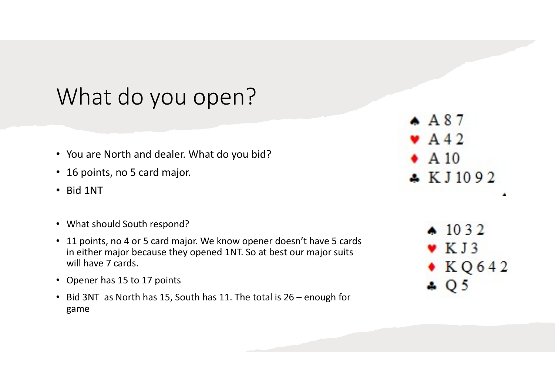### What do you open?

- You are North and dealer. What do you bid?
- 16 points, no 5 card major.
- Bid 1NT
- What should South respond?
- 11 points, no 4 or 5 card major. We know opener doesn't have 5 cards in either major because they opened 1NT. So at best our major suits will have 7 cards.
- Opener has 15 to 17 points
- game

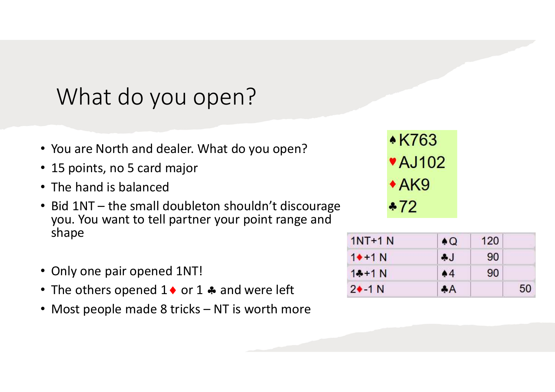### What do you open?

- You are North and dealer. What do you open?<br>• 15 points no 5 card major
- 15 points, no 5 card major
- The hand is balanced
- What do you open?<br>• You are North and dealer. What do you open?<br>• 15 points, no 5 card major<br>• The hand is balanced<br>• Bid 1NT the small doubleton shouldn't discourage<br>you. You want to tell partner your point range and<br>sh you. You want to tell partner your point range and shape • You are North and dealer. What do you open?<br>
• 15 points, no 5 card major<br>
• The hand is balanced<br>
• Bid 1NT – the small doubleton shouldn't discourage<br>
• YOU. You want to tell partner your point range and<br>
shape<br>
• Onl
- Only one pair opened 1NT!
- The others opened  $1 \bullet$  or  $1 \bullet$  and were left
- 

| $1NT+1N$      | $\bullet$ Q | 120 |    |
|---------------|-------------|-----|----|
| $1+1N$        | J           | 90  |    |
| $1 + 1 N$     | 44          | 90  |    |
| $2 \cdot 1 N$ | AA          |     | 50 |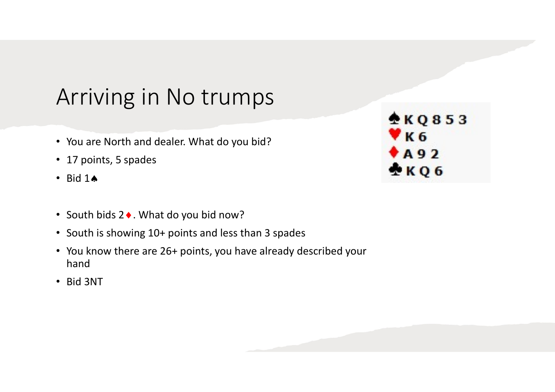### Arriving in No trumps

- You are North and dealer. What do you bid?
- 17 points, 5 spades
- $\cdot$  Bid 14
- South bids 2 •. What do you bid now?
- South is showing 10+ points and less than 3 spades
- You know there are 26+ points, you have already described your hand
- Bid 3NT

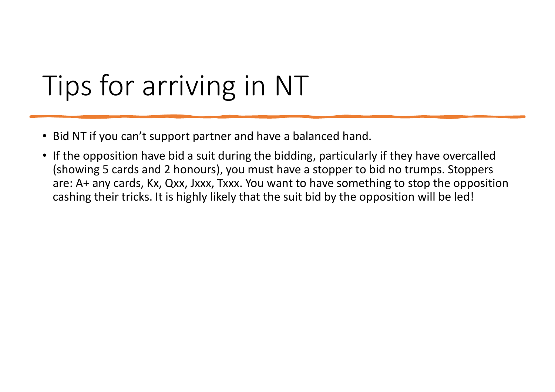## Tips for arriving in NT

- Bid NT if you can't support partner and have a balanced hand.
- If the opposition have bid a suit during the bidding, particularly if they have overcalled (showing 5 cards and 2 honours), you must have a stopper to bid no trumps. Stoppers are: A+ any cards, Kx, Qxx, Jxxx, Txxx. You want to have something to stop the opposition cashing their tricks. It is highly likely that the suit bid by the opposition will be led!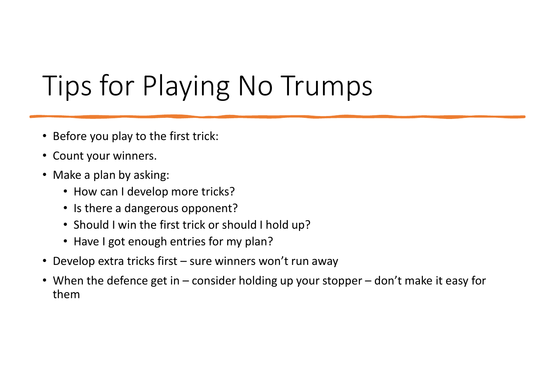## Tips for Playing No Trumps

- Before you play to the first trick:
- Count your winners.
- Make a plan by asking:
	- How can I develop more tricks?
	- Is there a dangerous opponent?
	- Should I win the first trick or should I hold up?
	- Have I got enough entries for my plan?
- 
- Before you play to the first trick:<br>• Count your winners.<br>• Make a plan by asking:<br>• How can I develop more tricks?<br>• Is there a dangerous opponent?<br>• Should I win the first trick or should I hold up?<br>• Have I got enough • Before you play to the first trick:<br>• Count your winners.<br>• Make a plan by asking:<br>• How can I develop more tricks?<br>• Is there a dangerous opponent?<br>• Should I win the first trick or should I hold up?<br>• Have I got enough them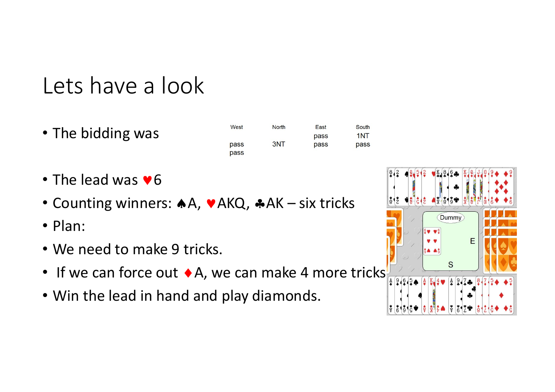### Lets have a look

• The bidding was

| West | <b>North</b> | East | Sc |
|------|--------------|------|----|
|      |              | pass | 11 |
| pass | 3NT          | pass | Dέ |
| pass |              |      |    |

- $\cdot$  The lead was  $\vee$ 6
- 
- Plan:
- We need to make 9 tricks.
- If we can force out  $\bullet$  A, we can make 4 more tricks  $\mathbb{F}_4$
- Win the lead in hand and play diamonds.

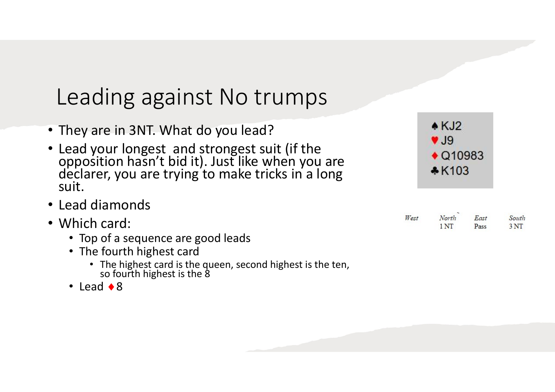### Leading against No trumps

- They are in 3NT. What do you lead?
- Lead your longest and strongest suit (if the opposition hasn't bid it). Just like when you are declarer, you are trying to make tricks in a long suit.
- Lead diamonds
- Which card:
	- Top of a sequence are good leads
	- The fourth highest card
		- The highest card is the queen, second highest is the ten, so fourth highest is the 8
	- $\cdot$  Lead  $\bullet$  8

| $\triangle$ KJ2         |  |
|-------------------------|--|
| $\blacktriangledown$ J9 |  |
| $\bigcirc$ Q10983       |  |
| $*K103$                 |  |